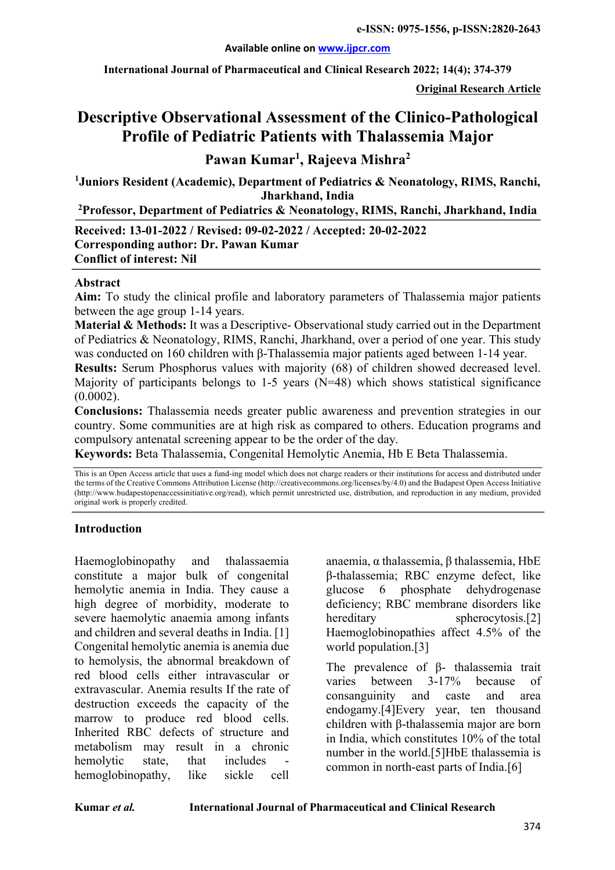**International Journal of Pharmaceutical and Clinical Research 2022; 14(4); 374-379**

**Original Research Article**

# **Descriptive Observational Assessment of the Clinico-Pathological Profile of Pediatric Patients with Thalassemia Major**

**Pawan Kumar1 , Rajeeva Mishra2**

**1 Juniors Resident (Academic), Department of Pediatrics & Neonatology, RIMS, Ranchi, Jharkhand, India**

**2 Professor, Department of Pediatrics & Neonatology, RIMS, Ranchi, Jharkhand, India**

**Received: 13-01-2022 / Revised: 09-02-2022 / Accepted: 20-02-2022 Corresponding author: Dr. Pawan Kumar Conflict of interest: Nil**

#### **Abstract**

**Aim:** To study the clinical profile and laboratory parameters of Thalassemia major patients between the age group 1-14 years.

**Material & Methods:** It was a Descriptive-Observational study carried out in the Department of Pediatrics & Neonatology, RIMS, Ranchi, Jharkhand, over a period of one year. This study was conducted on 160 children with β-Thalassemia major patients aged between 1-14 year.

**Results:** Serum Phosphorus values with majority (68) of children showed decreased level. Majority of participants belongs to 1-5 years  $(N=48)$  which shows statistical significance (0.0002).

**Conclusions:** Thalassemia needs greater public awareness and prevention strategies in our country. Some communities are at high risk as compared to others. Education programs and compulsory antenatal screening appear to be the order of the day.

**Keywords:** Beta Thalassemia, Congenital Hemolytic Anemia, Hb E Beta Thalassemia.

This is an Open Access article that uses a fund-ing model which does not charge readers or their institutions for access and distributed under the terms of the Creative Commons Attribution License (http://creativecommons.org/licenses/by/4.0) and the Budapest Open Access Initiative (http://www.budapestopenaccessinitiative.org/read), which permit unrestricted use, distribution, and reproduction in any medium, provided original work is properly credited.

#### **Introduction**

Haemoglobinopathy and thalassaemia constitute a major bulk of congenital hemolytic anemia in India. They cause a high degree of morbidity, moderate to severe haemolytic anaemia among infants and children and several deaths in India. [1] Congenital hemolytic anemia is anemia due to hemolysis, the abnormal breakdown of red blood cells either intravascular or extravascular. Anemia results If the rate of destruction exceeds the capacity of the marrow to produce red blood cells. Inherited RBC defects of structure and metabolism may result in a chronic hemolytic state, that includes hemoglobinopathy, like sickle cell

anaemia, α thalassemia, β thalassemia, HbE β-thalassemia; RBC enzyme defect, like glucose 6 phosphate dehydrogenase deficiency; RBC membrane disorders like hereditary spherocytosis.<sup>[2]</sup> Haemoglobinopathies affect 4.5% of the world population.[3]

The prevalence of β- thalassemia trait varies between 3-17% because of consanguinity and caste and area endogamy.[4]Every year, ten thousand children with β-thalassemia major are born in India, which constitutes 10% of the total number in the world.[5]HbE thalassemia is common in north-east parts of India.[6]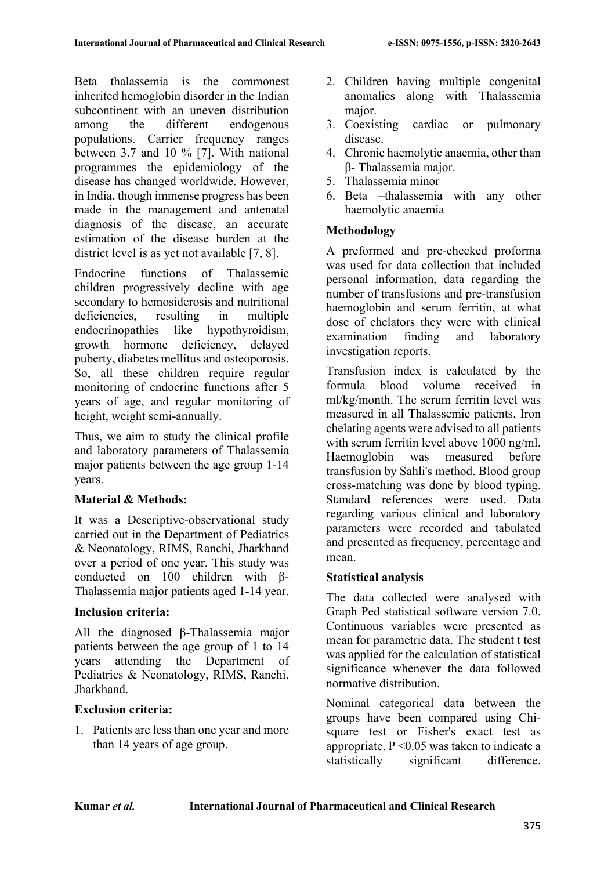Beta thalassemia is the commonest inherited hemoglobin disorder in the Indian subcontinent with an uneven distribution among the different endogenous populations. Carrier frequency ranges between 3.7 and 10 % [7]. With national programmes the epidemiology of the disease has changed worldwide. However, in India, though immense progress has been made in the management and antenatal diagnosis of the disease, an accurate estimation of the disease burden at the district level is as yet not available [7, 8].

Endocrine functions of Thalassemic children progressively decline with age secondary to hemosiderosis and nutritional deficiencies, resulting in multiple endocrinopathies like hypothyroidism, growth hormone deficiency, delayed puberty, diabetes mellitus and osteoporosis. So, all these children require regular monitoring of endocrine functions after 5 years of age, and regular monitoring of height, weight semi-annually.

Thus, we aim to study the clinical profile and laboratory parameters of Thalassemia major patients between the age group 1-14 years.

# **Material & Methods:**

It was a Descriptive-observational study carried out in the Department of Pediatrics & Neonatology, RIMS, Ranchi, Jharkhand over a period of one year. This study was conducted on 100 children with β-Thalassemia major patients aged 1-14 year.

## **Inclusion criteria:**

All the diagnosed β-Thalassemia major patients between the age group of 1 to 14 years attending the Department of Pediatrics & Neonatology, RIMS, Ranchi, Jharkhand.

## **Exclusion criteria:**

1. Patients are less than one year and more than 14 years of age group.

- 2. Children having multiple congenital anomalies along with Thalassemia major.
- 3. Coexisting cardiac or pulmonary disease.
- 4. Chronic haemolytic anaemia, other than β- Thalassemia major.
- 5. Thalassemia minor
- 6. Beta –thalassemia with any other haemolytic anaemia

# **Methodology**

A preformed and pre-checked proforma was used for data collection that included personal information, data regarding the number of transfusions and pre-transfusion haemoglobin and serum ferritin, at what dose of chelators they were with clinical examination finding and laboratory investigation reports.

Transfusion index is calculated by the formula blood volume received in ml/kg/month. The serum ferritin level was measured in all Thalassemic patients. Iron chelating agents were advised to all patients with serum ferritin level above 1000 ng/ml. Haemoglobin was measured before transfusion by Sahli's method. Blood group cross-matching was done by blood typing. Standard references were used. Data regarding various clinical and laboratory parameters were recorded and tabulated and presented as frequency, percentage and mean.

# **Statistical analysis**

The data collected were analysed with Graph Ped statistical software version 7.0. Continuous variables were presented as mean for parametric data. The student t test was applied for the calculation of statistical significance whenever the data followed normative distribution.

Nominal categorical data between the groups have been compared using Chisquare test or Fisher's exact test as appropriate.  $P \leq 0.05$  was taken to indicate a statistically significant difference.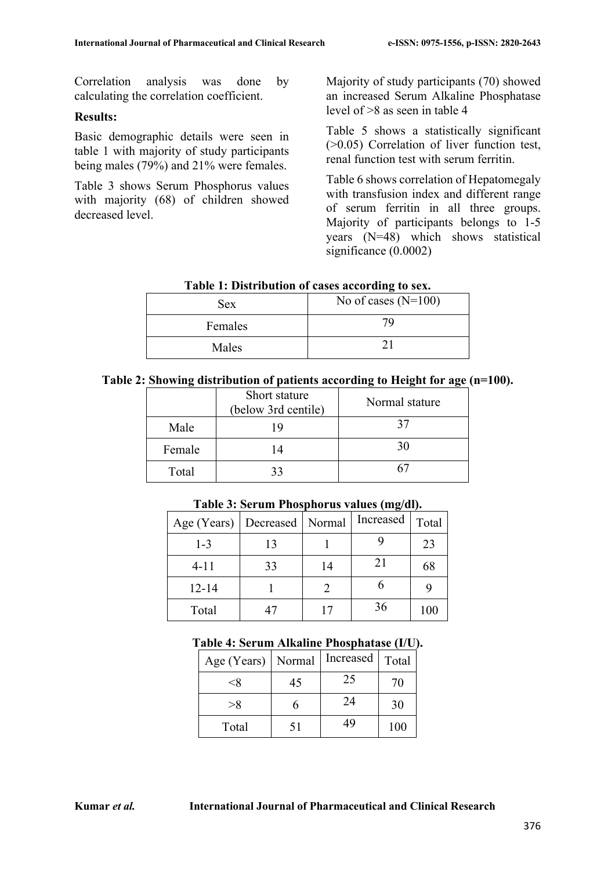Correlation analysis was done by calculating the correlation coefficient.

## **Results:**

Basic demographic details were seen in table 1 with majority of study participants being males (79%) and 21% were females.

Table 3 shows Serum Phosphorus values with majority (68) of children showed decreased level.

Majority of study participants (70) showed an increased Serum Alkaline Phosphatase level of >8 as seen in table 4

Table 5 shows a statistically significant (>0.05) Correlation of liver function test, renal function test with serum ferritin.

Table 6 shows correlation of Hepatomegaly with transfusion index and different range of serum ferritin in all three groups. Majority of participants belongs to 1-5 years (N=48) which shows statistical significance (0.0002)

| Table 1. Distribution of cases according to sex. |                       |  |  |
|--------------------------------------------------|-----------------------|--|--|
| <b>Sex</b>                                       | No of cases $(N=100)$ |  |  |
| Females                                          | 79                    |  |  |
| Males                                            |                       |  |  |

**Table 1: Distribution of cases according to sex.**

|  | Table 2: Showing distribution of patients according to Height for age (n=100). |  |  |  |  |
|--|--------------------------------------------------------------------------------|--|--|--|--|
|  |                                                                                |  |  |  |  |

|        | Short stature<br>(below 3rd centile) | Normal stature |
|--------|--------------------------------------|----------------|
| Male   | 19                                   | 37             |
| Female | 14                                   | 30             |
| Total  | 33                                   |                |

| Age (Years)   Decreased   Normal |    |    | Increased | Total |
|----------------------------------|----|----|-----------|-------|
| $1 - 3$                          | 13 |    |           | 23    |
| $4 - 11$                         | 33 | 14 | 21        | 68    |
| $12 - 14$                        |    |    |           |       |
| Total                            |    |    | 36        | 100   |

#### **Table 3: Serum Phosphorus values (mg/dl).**

#### **Table 4: Serum Alkaline Phosphatase (I/U).**

| Age (Years)   Normal |    | Increased | Total |
|----------------------|----|-----------|-------|
| <Χ                   | 45 | 25        | 70    |
| >8                   |    | 24        | 30    |
| Total                | 51 | 49        | 100   |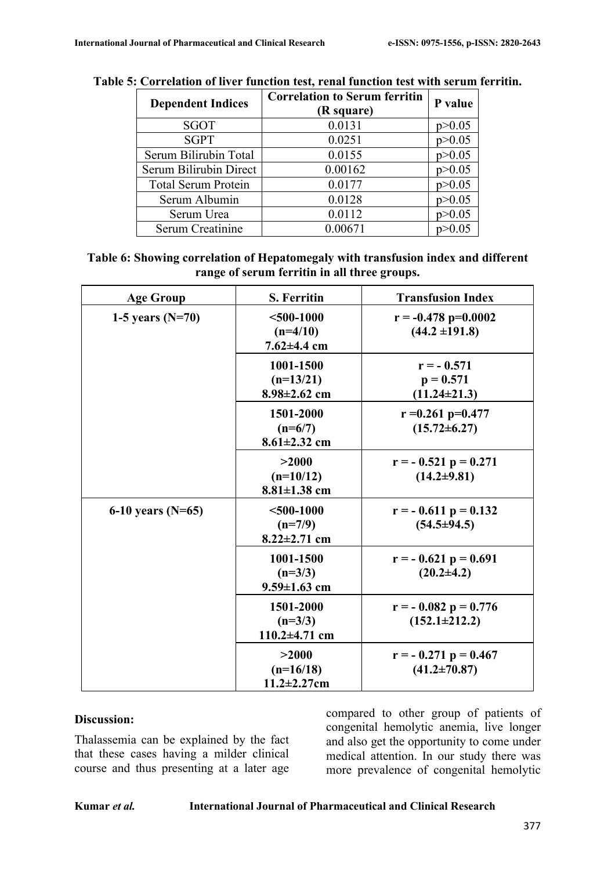| <b>Dependent Indices</b>   | <b>Correlation to Serum ferritin</b><br>(R square) | P value  |
|----------------------------|----------------------------------------------------|----------|
| SGOT                       | 0.0131                                             | p > 0.05 |
| <b>SGPT</b>                | 0.0251                                             | p > 0.05 |
| Serum Bilirubin Total      | 0.0155                                             | p > 0.05 |
| Serum Bilirubin Direct     | 0.00162                                            | p > 0.05 |
| <b>Total Serum Protein</b> | 0.0177                                             | p > 0.05 |
| Serum Albumin              | 0.0128                                             | p > 0.05 |
| Serum Urea                 | 0.0112                                             | p > 0.05 |
| Serum Creatinine           | 0.00671                                            | p > 0.05 |

# **Table 5: Correlation of liver function test, renal function test with serum ferritin.**

| Table 6: Showing correlation of Hepatomegaly with transfusion index and different |
|-----------------------------------------------------------------------------------|
| range of serum ferritin in all three groups.                                      |

| <b>Age Group</b>    | <b>S. Ferritin</b>                              | <b>Transfusion Index</b>                          |
|---------------------|-------------------------------------------------|---------------------------------------------------|
| 1-5 years $(N=70)$  | $<$ 500-1000<br>$(n=4/10)$<br>$7.62{\pm}4.4$ cm | $r = -0.478 p=0.0002$<br>$(44.2 \pm 191.8)$       |
|                     | 1001-1500<br>$(n=13/21)$<br>$8.98 \pm 2.62$ cm  | $r = -0.571$<br>$p = 0.571$<br>$(11.24 \pm 21.3)$ |
|                     | 1501-2000<br>$(n=6/7)$<br>$8.61 \pm 2.32$ cm    | $r = 0.261$ p=0.477<br>$(15.72 \pm 6.27)$         |
|                     | >2000<br>$(n=10/12)$<br>$8.81 \pm 1.38$ cm      | $r = -0.521 p = 0.271$<br>$(14.2 \pm 9.81)$       |
| 6-10 years $(N=65)$ | $<$ 500-1000<br>$(n=7/9)$<br>$8.22 \pm 2.71$ cm | $r = -0.611 p = 0.132$<br>$(54.5 \pm 94.5)$       |
|                     | 1001-1500<br>$(n=3/3)$<br>$9.59 \pm 1.63$ cm    | $r = -0.621 p = 0.691$<br>$(20.2\pm4.2)$          |
|                     | 1501-2000<br>$(n=3/3)$<br>110.2 $\pm$ 4.71 cm   | $r = -0.082 p = 0.776$<br>$(152.1 \pm 212.2)$     |
|                     | >2000<br>$(n=16/18)$<br>$11.2 \pm 2.27$ cm      | $r = -0.271 p = 0.467$<br>$(41.2 \pm 70.87)$      |

#### **Discussion:**

Thalassemia can be explained by the fact that these cases having a milder clinical course and thus presenting at a later age

compared to other group of patients of congenital hemolytic anemia, live longer and also get the opportunity to come under medical attention. In our study there was more prevalence of congenital hemolytic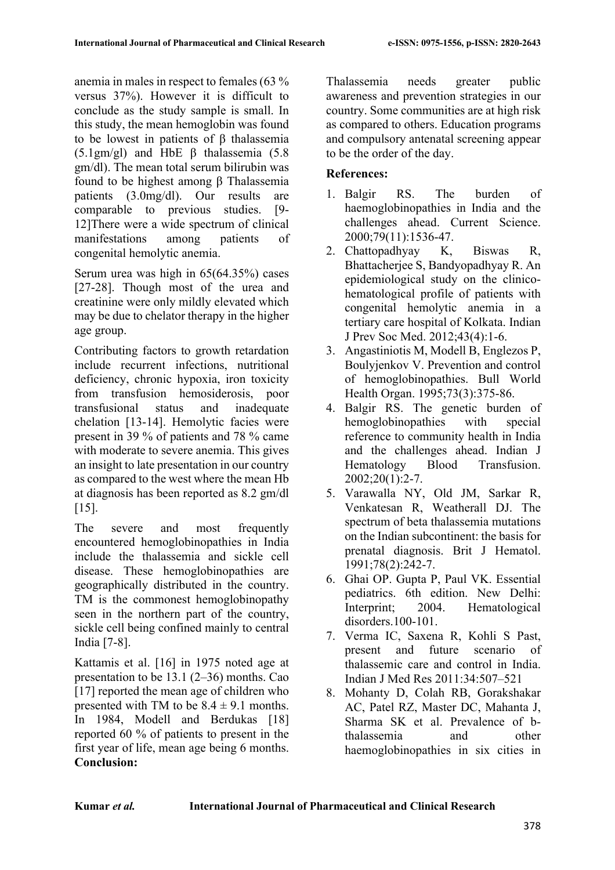anemia in males in respect to females (63 % versus 37%). However it is difficult to conclude as the study sample is small. In this study, the mean hemoglobin was found to be lowest in patients of β thalassemia (5.1gm/gl) and HbE β thalassemia (5.8 gm/dl). The mean total serum bilirubin was found to be highest among β Thalassemia patients (3.0mg/dl). Our results are comparable to previous studies. [9- 12]There were a wide spectrum of clinical manifestations among patients of congenital hemolytic anemia.

Serum urea was high in 65(64.35%) cases [27-28]. Though most of the urea and creatinine were only mildly elevated which may be due to chelator therapy in the higher age group.

Contributing factors to growth retardation include recurrent infections, nutritional deficiency, chronic hypoxia, iron toxicity from transfusion hemosiderosis, poor transfusional status and inadequate chelation [13-14]. Hemolytic facies were present in 39 % of patients and 78 % came with moderate to severe anemia. This gives an insight to late presentation in our country as compared to the west where the mean Hb at diagnosis has been reported as 8.2 gm/dl  $[15]$ .

The severe and most frequently encountered hemoglobinopathies in India include the thalassemia and sickle cell disease. These hemoglobinopathies are geographically distributed in the country. TM is the commonest hemoglobinopathy seen in the northern part of the country, sickle cell being confined mainly to central India [7-8].

Kattamis et al. [16] in 1975 noted age at presentation to be 13.1 (2–36) months. Cao [17] reported the mean age of children who presented with TM to be  $8.4 \pm 9.1$  months. In 1984, Modell and Berdukas [18] reported 60 % of patients to present in the first year of life, mean age being 6 months. **Conclusion:**

Thalassemia needs greater public awareness and prevention strategies in our country. Some communities are at high risk as compared to others. Education programs and compulsory antenatal screening appear to be the order of the day.

# **References:**

- 1. Balgir RS. The burden of haemoglobinopathies in India and the challenges ahead. Current Science. 2000;79(11):1536-47.
- 2. Chattopadhyay K, Biswas R, Bhattacherjee S, Bandyopadhyay R. An epidemiological study on the clinicohematological profile of patients with congenital hemolytic anemia in a tertiary care hospital of Kolkata. Indian J Prev Soc Med. 2012;43(4):1-6.
- 3. Angastiniotis M, Modell B, Englezos P, Boulyjenkov V. Prevention and control of hemoglobinopathies. Bull World Health Organ. 1995;73(3):375-86.
- 4. Balgir RS. The genetic burden of hemoglobinopathies with special reference to community health in India and the challenges ahead. Indian J Hematology Blood Transfusion. 2002;20(1):2-7.
- 5. Varawalla NY, Old JM, Sarkar R, Venkatesan R, Weatherall DJ. The spectrum of beta thalassemia mutations on the Indian subcontinent: the basis for prenatal diagnosis. Brit J Hematol. 1991;78(2):242-7.
- 6. Ghai OP. Gupta P, Paul VK. Essential pediatrics. 6th edition. New Delhi: Interprint; 2004. Hematological disorders.100-101.
- 7. Verma IC, Saxena R, Kohli S Past, present and future scenario of thalassemic care and control in India. Indian J Med Res 2011:34:507–521
- 8. Mohanty D, Colah RB, Gorakshakar AC, Patel RZ, Master DC, Mahanta J, Sharma SK et al. Prevalence of bthalassemia and other haemoglobinopathies in six cities in